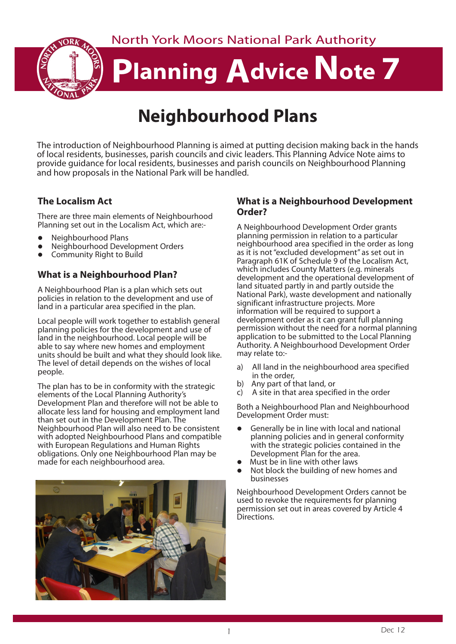North York Moors National Park Authority



# **Planning Advice Note 7**

# **Neighbourhood Plans**

The introduction of Neighbourhood Planning is aimed at putting decision making back in the hands of local residents, businesses, parish councils and civic leaders. This Planning Advice Note aims to provide guidance for local residents, businesses and parish councils on Neighbourhood Planning and how proposals in the National Park will be handled.

# **The Localism Act**

There are three main elements of Neighbourhood Planning set out in the Localism Act, which are:-

- l Neighbourhood Plans
- l Neighbourhood Development Orders
- **•** Community Right to Build

# **What is a Neighbourhood Plan?**

A Neighbourhood Plan is a plan which sets out policies in relation to the development and use of land in a particular area specified in the plan.

Local people will work together to establish general planning policies for the development and use of land in the neighbourhood. Local people will be able to say where new homes and employment units should be built and what they should look like. The level of detail depends on the wishes of local people.

The plan has to be in conformity with the strategic elements of the Local Planning Authority's Development Plan and therefore will not be able to allocate less land for housing and employment land than set out in the Development Plan. The Neighbourhood Plan will also need to be consistent with adopted Neighbourhood Plans and compatible with European Regulations and Human Rights obligations. Only one Neighbourhood Plan may be made for each neighbourhood area.



#### **What is a Neighbourhood Development Order?**

A Neighbourhood Development Order grants planning permission in relation to a particular neighbourhood area specified in the order as long as it is not "excluded development" as set out in Paragraph 61K of Schedule 9 of the Localism Act, which includes County Matters (e.g. minerals development and the operational development of land situated partly in and partly outside the National Park), waste development and nationally significant infrastructure projects. More information will be required to support a development order as it can grant full planning permission without the need for a normal planning application to be submitted to the Local Planning Authority. A Neighbourhood Development Order may relate to:-

- a) All land in the neighbourhood area specified in the order,
- b) Any part of that land, or
- A site in that area specified in the order

Both a Neighbourhood Plan and Neighbourhood Development Order must:

- Generally be in line with local and national planning policies and in general conformity with the strategic policies contained in the Development Plan for the area.
- Must be in line with other laws
- <sup>l</sup> Not block the building of new homes and businesses

Neighbourhood Development Orders cannot be used to revoke the requirements for planning permission set out in areas covered by Article 4 Directions.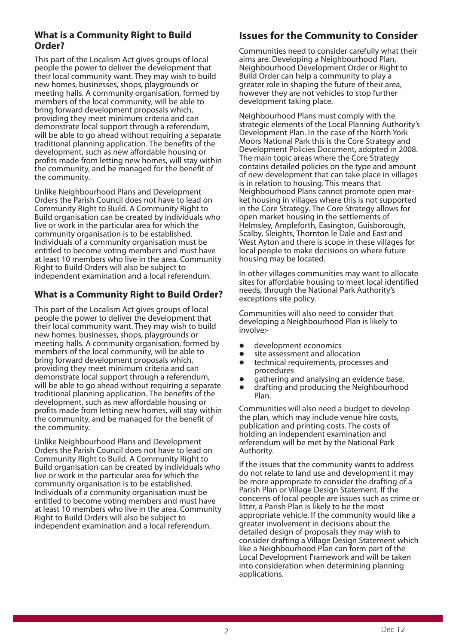### **What is a Community Right to Build Order?**

This part of the Localism Act gives groups of local people the power to deliver the development that their local community want. They may wish to build new homes, businesses, shops, playgrounds or meeting halls. A community organisation, formed by members of the local community, will be able to bring forward development proposals which, providing they meet minimum criteria and can demonstrate local support through a referendum, will be able to go ahead without requiring a separate traditional planning application. The benefits of the development, such as new affordable housing or profits made from letting new homes, will stay within the community, and be managed for the benefit of the community.

Unlike Neighbourhood Plans and Development Orders the Parish Council does not have to lead on Community Right to Build. A Community Right to Build organisation can be created by individuals who live or work in the particular area for which the community organisation is to be established. Individuals of a community organisation must be entitled to become voting members and must have at least 10 members who live in the area. Community Right to Build Orders will also be subject to independent examination and a local referendum.

## **What is a Community Right to Build Order?**

This part of the Localism Act gives groups of local people the power to deliver the development that their local community want. They may wish to build new homes, businesses, shops, playgrounds or meeting halls. A community organisation, formed by members of the local community, will be able to bring forward development proposals which, providing they meet minimum criteria and can demonstrate local support through a referendum, will be able to go ahead without requiring a separate traditional planning application. The benefits of the development, such as new affordable housing or profits made from letting new homes, will stay within the community, and be managed for the benefit of the community.

Unlike Neighbourhood Plans and Development Orders the Parish Council does not have to lead on Community Right to Build. A Community Right to Build organisation can be created by individuals who live or work in the particular area for which the community organisation is to be established. Individuals of a community organisation must be entitled to become voting members and must have at least 10 members who live in the area. Community Right to Build Orders will also be subject to independent examination and a local referendum.

# **Issues for the Community to Consider**

Communities need to consider carefully what their aims are. Developing a Neighbourhood Plan, Neighbourhood Development Order or Right to Build Order can help a community to play a greater role in shaping the future of their area, however they are not vehicles to stop further development taking place.

Neighbourhood Plans must comply with the strategic elements of the Local Planning Authority's Development Plan. In the case of the North York Moors National Park this is the Core Strategy and Development Policies Document, adopted in 2008. The main topic areas where the Core Strategy contains detailed policies on the type and amount of new development that can take place in villages is in relation to housing. This means that Neighbourhood Plans cannot promote open market housing in villages where this is not supported in the Core Strategy. The Core Strategy allows for open market housing in the settlements of Helmsley, Ampleforth, Easington, Guisborough, Scalby, Sleights, Thornton le Dale and East and West Ayton and there is scope in these villages for local people to make decisions on where future housing may be located.

In other villages communities may want to allocate sites for affordable housing to meet local identified needs, through the National Park Authority's exceptions site policy.

Communities will also need to consider that developing a Neighbourhood Plan is likely to involve;-

- **•** development economics
- site assessment and allocation
- **•** technical requirements, processes and procedures
- **•** gathering and analysing an evidence base.
- **•** drafting and producing the Neighbourhood Plan.

Communities will also need a budget to develop the plan, which may include venue hire costs, publication and printing costs. The costs of holding an independent examination and referendum will be met by the National Park Authority.

If the issues that the community wants to address do not relate to land use and development it may be more appropriate to consider the drafting of a Parish Plan or Village Design Statement. If the concerns of local people are issues such as crime or litter, a Parish Plan is likely to be the most appropriate vehicle. If the community would like a greater involvement in decisions about the detailed design of proposals they may wish to consider drafting a Village Design Statement which like a Neighbourhood Plan can form part of the Local Development Framework and will be taken into consideration when determining planning applications.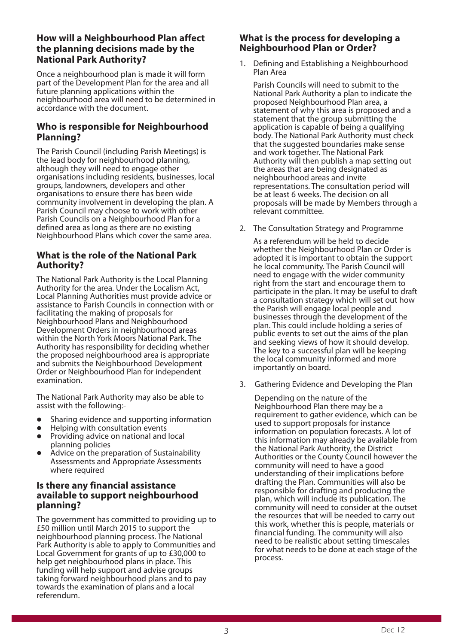#### **How will a Neighbourhood Plan affect the planning decisions made by the National Park Authority?**

Once a neighbourhood plan is made it will form part of the Development Plan for the area and all future planning applications within the neighbourhood area will need to be determined in accordance with the document.

#### **Who is responsible for Neighbourhood Planning?**

The Parish Council (including Parish Meetings) is the lead body for neighbourhood planning, although they will need to engage other organisations including residents, businesses, local groups, landowners, developers and other organisations to ensure there has been wide community involvement in developing the plan. A Parish Council may choose to work with other Parish Councils on a Neighbourhood Plan for a defined area as long as there are no existing Neighbourhood Plans which cover the same area.

#### **What is the role of the National Park Authority?**

The National Park Authority is the Local Planning Authority for the area. Under the Localism Act, Local Planning Authorities must provide advice or assistance to Parish Councils in connection with or facilitating the making of proposals for Neighbourhood Plans and Neighbourhood Development Orders in neighbourhood areas within the North York Moors National Park. The Authority has responsibility for deciding whether the proposed neighbourhood area is appropriate and submits the Neighbourhood Development Order or Neighbourhood Plan for independent examination.

The National Park Authority may also be able to assist with the following:-

- Sharing evidence and supporting information
- l Helping with consultation events
- l Providing advice on national and local planning policies
- Advice on the preparation of Sustainability Assessments and Appropriate Assessments where required

#### **Is there any financial assistance available to support neighbourhood planning?**

The government has committed to providing up to £50 million until March 2015 to support the neighbourhood planning process. The National Park Authority is able to apply to Communities and Local Government for grants of up to £30,000 to help get neighbourhood plans in place. This funding will help support and advise groups taking forward neighbourhood plans and to pay towards the examination of plans and a local referendum.

#### **What is the process for developing a Neighbourhood Plan or Order?**

1. Defining and Establishing a Neighbourhood Plan Area

Parish Councils will need to submit to the National Park Authority a plan to indicate the proposed Neighbourhood Plan area, a statement of why this area is proposed and a statement that the group submitting the application is capable of being a qualifying body. The National Park Authority must check that the suggested boundaries make sense and work together. The National Park Authority will then publish a map setting out the areas that are being designated as neighbourhood areas and invite representations. The consultation period will be at least 6 weeks. The decision on all proposals will be made by Members through a relevant committee.

2. The Consultation Strategy and Programme

As a referendum will be held to decide whether the Neighbourhood Plan or Order is adopted it is important to obtain the support he local community. The Parish Council will need to engage with the wider community right from the start and encourage them to participate in the plan. It may be useful to draft a consultation strategy which will set out how the Parish will engage local people and businesses through the development of the plan. This could include holding a series of public events to set out the aims of the plan and seeking views of how it should develop. The key to a successful plan will be keeping the local community informed and more importantly on board.

3. Gathering Evidence and Developing the Plan

Depending on the nature of the Neighbourhood Plan there may be a requirement to gather evidence, which can be used to support proposals for instance information on population forecasts. A lot of this information may already be available from the National Park Authority, the District Authorities or the County Council however the community will need to have a good understanding of their implications before drafting the Plan. Communities will also be responsible for drafting and producing the plan, which will include its publication. The community will need to consider at the outset the resources that will be needed to carry out this work, whether this is people, materials or financial funding. The community will also need to be realistic about setting timescales for what needs to be done at each stage of the process.